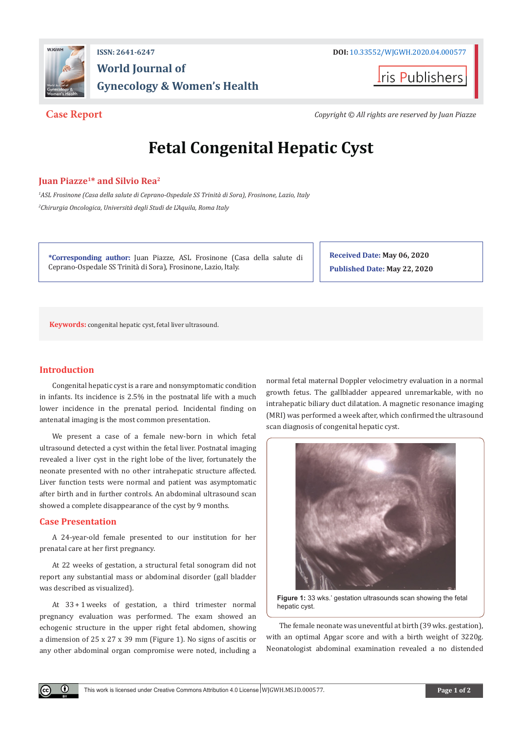

## **ISSN: 2641-6247 DOI:** [10.33552/WJGWH.2020.04.000577](http://dx.doi.org/10.33552/WJGWH.2020.04.000577) **World Journal of Gynecology & Women's Health**

ris Publishers

**Case Report** *Copyright © All rights are reserved by Juan Piazze*

# **Fetal Congenital Hepatic Cyst**

#### **Juan Piazze1\* and Silvio Rea2**

*1 ASL Frosinone (Casa della salute di Ceprano-Ospedale SS Trinità di Sora), Frosinone, Lazio, Italy 2 Chirurgia Oncologica, Università degli Studi de L'Aquila, Roma Italy*

**\*Corresponding author:** Juan Piazze, ASL Frosinone (Casa della salute di Ceprano-Ospedale SS Trinità di Sora), Frosinone, Lazio, Italy.

**Received Date: May 06, 2020 Published Date: May 22, 2020**

**Keywords:** congenital hepatic cyst, fetal liver ultrasound.

### **Introduction**

Congenital hepatic cyst is a rare and nonsymptomatic condition in infants. Its incidence is 2.5% in the postnatal life with a much lower incidence in the prenatal period. Incidental finding on antenatal imaging is the most common presentation.

We present a case of a female new-born in which fetal ultrasound detected a cyst within the fetal liver. Postnatal imaging revealed a liver cyst in the right lobe of the liver, fortunately the neonate presented with no other intrahepatic structure affected. Liver function tests were normal and patient was asymptomatic after birth and in further controls. An abdominal ultrasound scan showed a complete disappearance of the cyst by 9 months.

#### **Case Presentation**

 $(\cdot)$ 

A 24-year-old female presented to our institution for her prenatal care at her first pregnancy.

At 22 weeks of gestation, a structural fetal sonogram did not report any substantial mass or abdominal disorder (gall bladder was described as visualized).

At 33 + 1 weeks of gestation, a third trimester normal pregnancy evaluation was performed. The exam showed an echogenic structure in the upper right fetal abdomen, showing a dimension of 25 x 27 x 39 mm (Figure 1). No signs of ascitis or any other abdominal organ compromise were noted, including a normal fetal maternal Doppler velocimetry evaluation in a normal growth fetus. The gallbladder appeared unremarkable, with no intrahepatic biliary duct dilatation. A magnetic resonance imaging (MRI) was performed a week after, which confirmed the ultrasound scan diagnosis of congenital hepatic cyst.



**Figure 1:** 33 wks.' gestation ultrasounds scan showing the fetal hepatic cyst.

The female neonate was uneventful at birth (39 wks. gestation), with an optimal Apgar score and with a birth weight of 3220g. Neonatologist abdominal examination revealed a no distended